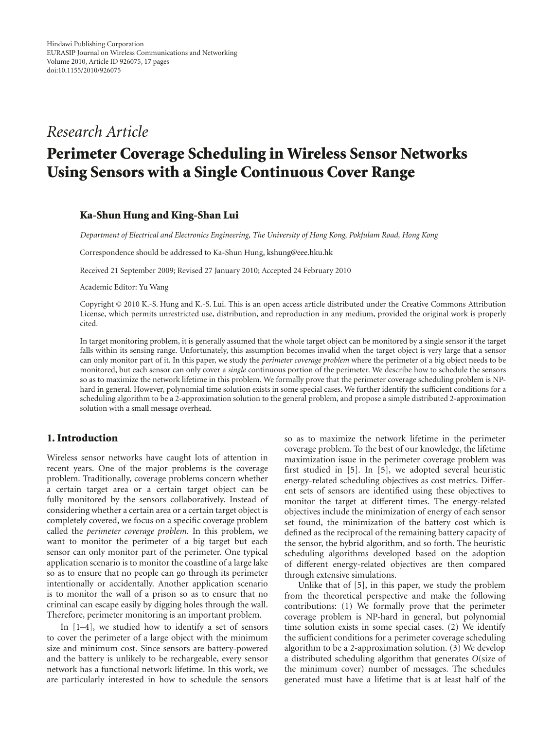## *Research Article*

# **Perimeter Coverage Scheduling in Wireless Sensor Networks Using Sensors with a Single Continuous Cover Range**

## **Ka-Shun Hung and King-Shan Lui**

*Department of Electrical and Electronics Engineering, The University of Hong Kong, Pokfulam Road, Hong Kong*

Correspondence should be addressed to Ka-Shun Hung, kshung@eee.hku.hk

Received 21 September 2009; Revised 27 January 2010; Accepted 24 February 2010

Academic Editor: Yu Wang

Copyright © 2010 K.-S. Hung and K.-S. Lui. This is an open access article distributed under the Creative Commons Attribution License, which permits unrestricted use, distribution, and reproduction in any medium, provided the original work is properly cited.

In target monitoring problem, it is generally assumed that the whole target object can be monitored by a single sensor if the target falls within its sensing range. Unfortunately, this assumption becomes invalid when the target object is very large that a sensor can only monitor part of it. In this paper, we study the *perimeter coverage problem* where the perimeter of a big object needs to be monitored, but each sensor can only cover a *single* continuous portion of the perimeter. We describe how to schedule the sensors so as to maximize the network lifetime in this problem. We formally prove that the perimeter coverage scheduling problem is NPhard in general. However, polynomial time solution exists in some special cases. We further identify the sufficient conditions for a scheduling algorithm to be a 2-approximation solution to the general problem, and propose a simple distributed 2-approximation solution with a small message overhead.

## **1. Introduction**

Wireless sensor networks have caught lots of attention in recent years. One of the major problems is the coverage problem. Traditionally, coverage problems concern whether a certain target area or a certain target object can be fully monitored by the sensors collaboratively. Instead of considering whether a certain area or a certain target object is completely covered, we focus on a specific coverage problem called the *perimeter coverage problem*. In this problem, we want to monitor the perimeter of a big target but each sensor can only monitor part of the perimeter. One typical application scenario is to monitor the coastline of a large lake so as to ensure that no people can go through its perimeter intentionally or accidentally. Another application scenario is to monitor the wall of a prison so as to ensure that no criminal can escape easily by digging holes through the wall. Therefore, perimeter monitoring is an important problem.

In [1–4], we studied how to identify a set of sensors to cover the perimeter of a large object with the minimum size and minimum cost. Since sensors are battery-powered and the battery is unlikely to be rechargeable, every sensor network has a functional network lifetime. In this work, we are particularly interested in how to schedule the sensors so as to maximize the network lifetime in the perimeter coverage problem. To the best of our knowledge, the lifetime maximization issue in the perimeter coverage problem was first studied in [5]. In [5], we adopted several heuristic energy-related scheduling objectives as cost metrics. Different sets of sensors are identified using these objectives to monitor the target at different times. The energy-related objectives include the minimization of energy of each sensor set found, the minimization of the battery cost which is defined as the reciprocal of the remaining battery capacity of the sensor, the hybrid algorithm, and so forth. The heuristic scheduling algorithms developed based on the adoption of different energy-related objectives are then compared through extensive simulations.

Unlike that of [5], in this paper, we study the problem from the theoretical perspective and make the following contributions: (1) We formally prove that the perimeter coverage problem is NP-hard in general, but polynomial time solution exists in some special cases. (2) We identify the sufficient conditions for a perimeter coverage scheduling algorithm to be a 2-approximation solution. (3) We develop a distributed scheduling algorithm that generates *O*(size of the minimum cover) number of messages. The schedules generated must have a lifetime that is at least half of the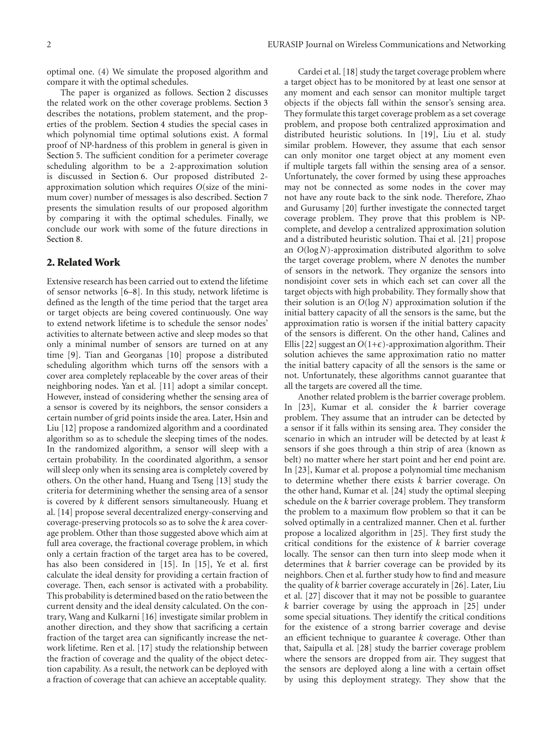optimal one. (4) We simulate the proposed algorithm and compare it with the optimal schedules.

The paper is organized as follows. Section 2 discusses the related work on the other coverage problems. Section 3 describes the notations, problem statement, and the properties of the problem. Section 4 studies the special cases in which polynomial time optimal solutions exist. A formal proof of NP-hardness of this problem in general is given in Section 5. The sufficient condition for a perimeter coverage scheduling algorithm to be a 2-approximation solution is discussed in Section 6. Our proposed distributed 2 approximation solution which requires *O*(size of the minimum cover) number of messages is also described. Section 7 presents the simulation results of our proposed algorithm by comparing it with the optimal schedules. Finally, we conclude our work with some of the future directions in Section 8.

## **2. Related Work**

Extensive research has been carried out to extend the lifetime of sensor networks [6–8]. In this study, network lifetime is defined as the length of the time period that the target area or target objects are being covered continuously. One way to extend network lifetime is to schedule the sensor nodes' activities to alternate between active and sleep modes so that only a minimal number of sensors are turned on at any time [9]. Tian and Georganas [10] propose a distributed scheduling algorithm which turns off the sensors with a cover area completely replaceable by the cover areas of their neighboring nodes. Yan et al. [11] adopt a similar concept. However, instead of considering whether the sensing area of a sensor is covered by its neighbors, the sensor considers a certain number of grid points inside the area. Later, Hsin and Liu [12] propose a randomized algorithm and a coordinated algorithm so as to schedule the sleeping times of the nodes. In the randomized algorithm, a sensor will sleep with a certain probability. In the coordinated algorithm, a sensor will sleep only when its sensing area is completely covered by others. On the other hand, Huang and Tseng [13] study the criteria for determining whether the sensing area of a sensor is covered by *k* different sensors simultaneously. Huang et al. [14] propose several decentralized energy-conserving and coverage-preserving protocols so as to solve the *k* area coverage problem. Other than those suggested above which aim at full area coverage, the fractional coverage problem, in which only a certain fraction of the target area has to be covered, has also been considered in [15]. In [15], Ye et al. first calculate the ideal density for providing a certain fraction of coverage. Then, each sensor is activated with a probability. This probability is determined based on the ratio between the current density and the ideal density calculated. On the contrary, Wang and Kulkarni [16] investigate similar problem in another direction, and they show that sacrificing a certain fraction of the target area can significantly increase the network lifetime. Ren et al. [17] study the relationship between the fraction of coverage and the quality of the object detection capability. As a result, the network can be deployed with a fraction of coverage that can achieve an acceptable quality.

Cardei et al. [18] study the target coverage problem where a target object has to be monitored by at least one sensor at any moment and each sensor can monitor multiple target objects if the objects fall within the sensor's sensing area. They formulate this target coverage problem as a set coverage problem, and propose both centralized approximation and distributed heuristic solutions. In [19], Liu et al. study similar problem. However, they assume that each sensor can only monitor one target object at any moment even if multiple targets fall within the sensing area of a sensor. Unfortunately, the cover formed by using these approaches may not be connected as some nodes in the cover may not have any route back to the sink node. Therefore, Zhao and Gurusamy [20] further investigate the connected target coverage problem. They prove that this problem is NPcomplete, and develop a centralized approximation solution and a distributed heuristic solution. Thai et al. [21] propose an *O*(log *N*)-approximation distributed algorithm to solve the target coverage problem, where *N* denotes the number of sensors in the network. They organize the sensors into nondisjoint cover sets in which each set can cover all the target objects with high probability. They formally show that their solution is an *O*(log *N*) approximation solution if the initial battery capacity of all the sensors is the same, but the approximation ratio is worsen if the initial battery capacity of the sensors is different. On the other hand, Calines and Ellis [22] suggest an  $O(1+\epsilon)$ -approximation algorithm. Their solution achieves the same approximation ratio no matter the initial battery capacity of all the sensors is the same or not. Unfortunately, these algorithms cannot guarantee that all the targets are covered all the time.

Another related problem is the barrier coverage problem. In [23], Kumar et al. consider the *k* barrier coverage problem. They assume that an intruder can be detected by a sensor if it falls within its sensing area. They consider the scenario in which an intruder will be detected by at least *k* sensors if she goes through a thin strip of area (known as belt) no matter where her start point and her end point are. In [23], Kumar et al. propose a polynomial time mechanism to determine whether there exists *k* barrier coverage. On the other hand, Kumar et al. [24] study the optimal sleeping schedule on the *k* barrier coverage problem. They transform the problem to a maximum flow problem so that it can be solved optimally in a centralized manner. Chen et al. further propose a localized algorithm in [25]. They first study the critical conditions for the existence of *k* barrier coverage locally. The sensor can then turn into sleep mode when it determines that *k* barrier coverage can be provided by its neighbors. Chen et al. further study how to find and measure the quality of *k* barrier coverage accurately in [26]. Later, Liu et al. [27] discover that it may not be possible to guarantee *k* barrier coverage by using the approach in [25] under some special situations. They identify the critical conditions for the existence of a strong barrier coverage and devise an efficient technique to guarantee *k* coverage. Other than that, Saipulla et al. [28] study the barrier coverage problem where the sensors are dropped from air. They suggest that the sensors are deployed along a line with a certain offset by using this deployment strategy. They show that the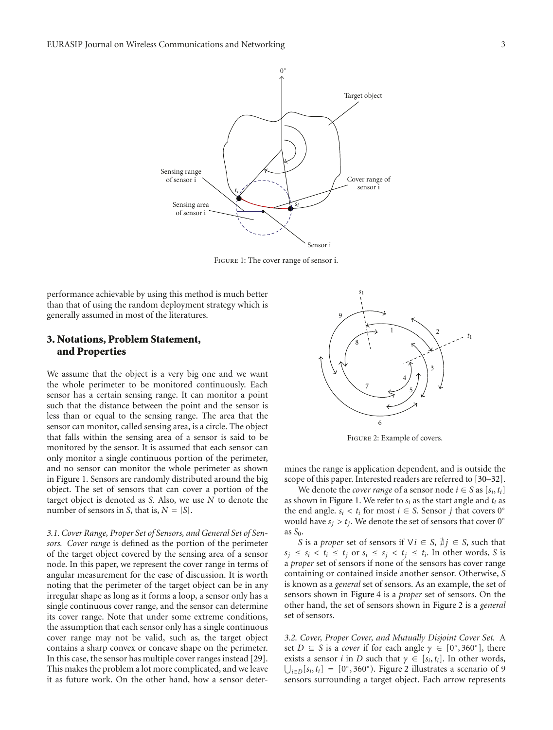

Figure 1: The cover range of sensor i.

performance achievable by using this method is much better than that of using the random deployment strategy which is generally assumed in most of the literatures.

## **3. Notations, Problem Statement, and Properties**

We assume that the object is a very big one and we want the whole perimeter to be monitored continuously. Each sensor has a certain sensing range. It can monitor a point such that the distance between the point and the sensor is less than or equal to the sensing range. The area that the sensor can monitor, called sensing area, is a circle. The object that falls within the sensing area of a sensor is said to be monitored by the sensor. It is assumed that each sensor can only monitor a single continuous portion of the perimeter, and no sensor can monitor the whole perimeter as shown in Figure 1. Sensors are randomly distributed around the big object. The set of sensors that can cover a portion of the target object is denoted as *S*. Also, we use *N* to denote the number of sensors in *S*, that is,  $N = |S|$ .

*3.1. Cover Range, Proper Set of Sensors, and General Set of Sensors. Cover range* is defined as the portion of the perimeter of the target object covered by the sensing area of a sensor node. In this paper, we represent the cover range in terms of angular measurement for the ease of discussion. It is worth noting that the perimeter of the target object can be in any irregular shape as long as it forms a loop, a sensor only has a single continuous cover range, and the sensor can determine its cover range. Note that under some extreme conditions, the assumption that each sensor only has a single continuous cover range may not be valid, such as, the target object contains a sharp convex or concave shape on the perimeter. In this case, the sensor has multiple cover ranges instead [29]. This makes the problem a lot more complicated, and we leave it as future work. On the other hand, how a sensor deter-



Figure 2: Example of covers.

mines the range is application dependent, and is outside the scope of this paper. Interested readers are referred to [30–32].

We denote the *cover range* of a sensor node  $i \in S$  as  $[s_i, t_i]$ as shown in Figure 1. We refer to *si* as the start angle and *ti* as the end angle.  $s_i < t_i$  for most  $i \in S$ . Sensor *j* that covers 0° would have  $s_j > t_j$ . We denote the set of sensors that cover 0° as *S*0.

*S* is a *proper* set of sensors if  $∀i ∈ S$ ,  $#j ∈ S$ , such that  $s_i \leq s_i \leq t_i \leq t_j$  or  $s_i \leq s_j \leq t_j \leq t_i$ . In other words, *S* is a *proper* set of sensors if none of the sensors has cover range containing or contained inside another sensor. Otherwise, *S* is known as a *general* set of sensors. As an example, the set of sensors shown in Figure 4 is a *proper* set of sensors. On the other hand, the set of sensors shown in Figure 2 is a *general* set of sensors.

*3.2. Cover, Proper Cover, and Mutually Disjoint Cover Set.* A set *D*  $\subseteq$  *S* is a *cover* if for each angle  $\gamma \in [0^{\circ}, 360^{\circ}]$ , there exists a sensor *i* in *D* such that  $\gamma \in [s_i, t_i]$ . In other words,  $\bigcup_{i \in D} [s_i, t_i] = [0^\circ, 360^\circ)$ . Figure 2 illustrates a scenario of 9 sensors surrounding a target object. Each arrow represents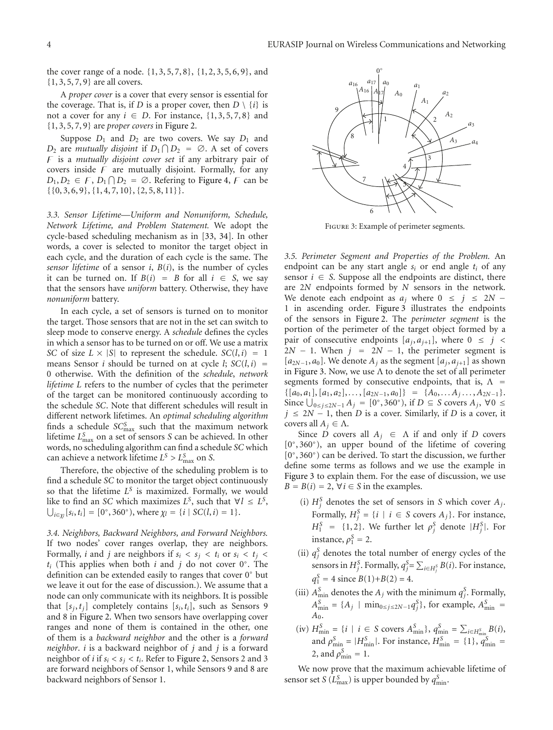the cover range of a node. {1, 3, 5, 7, 8}, {1, 2, 3, 5, 6, 9}, and {1, 3, 5, 7, 9} are all covers.

A *proper cover* is a cover that every sensor is essential for the coverage. That is, if *D* is a proper cover, then  $D \setminus \{i\}$  is not a cover for any  $i \in D$ . For instance,  $\{1, 3, 5, 7, 8\}$  and {1, 3, 5, 7, 9} are *proper covers* in Figure 2.

Suppose  $D_1$  and  $D_2$  are two covers. We say  $D_1$  and  $D_2$  are *mutually disjoint* if  $D_1 \cap D_2 = \emptyset$ . A set of covers is a *mutually disjoint cover set* if any arbitrary pair of covers inside  $F$  are mutually disjoint. Formally, for any  $D_1, D_2 \in F$ ,  $D_1 \cap D_2 = \emptyset$ . Refering to Figure 4, *F* can be  $\{\{0, 3, 6, 9\}, \{1, 4, 7, 10\}, \{2, 5, 8, 11\}\}.$ 

*3.3. Sensor Lifetime—Uniform and Nonuniform, Schedule, Network Lifetime, and Problem Statement.* We adopt the cycle-based scheduling mechanism as in [33, 34]. In other words, a cover is selected to monitor the target object in each cycle, and the duration of each cycle is the same. The *sensor lifetime* of a sensor  $i$ ,  $B(i)$ , is the number of cycles it can be turned on. If  $B(i) = B$  for all  $i \in S$ , we say that the sensors have *uniform* battery. Otherwise, they have *nonuniform* battery.

In each cycle, a set of sensors is turned on to monitor the target. Those sensors that are not in the set can switch to sleep mode to conserve energy. A *schedule* defines the cycles in which a sensor has to be turned on or off. We use a matrix *SC* of size  $L \times |S|$  to represent the schedule.  $SC(l, i) = 1$ means Sensor *i* should be turned on at cycle  $l$ ;  $SC(l, i)$  = 0 otherwise. With the definition of the *schedule*, *network lifetime L* refers to the number of cycles that the perimeter of the target can be monitored continuously according to the schedule *SC*. Note that different schedules will result in different network lifetimes. An *optimal scheduling algorithm* finds a schedule  $SC_{\text{max}}^S$  such that the maximum network lifetime  $L_{\text{max}}^S$  on a set of sensors *S* can be achieved. In other words, no scheduling algorithm can find a schedule *SC* which can achieve a network lifetime  $L^S > L_{\text{max}}^S$  on *S*.

Therefore, the objective of the scheduling problem is to find a schedule *SC* to monitor the target object continuously so that the lifetime  $L^S$  is maximized. Formally, we would like to find an *SC* which maximizes  $L^S$ , such that  $\forall l \leq L^S$ ,  $\bigcup_{i \in \chi_l} [s_i, t_i] = [0^\circ, 360^\circ), \text{ where } \chi_l = \{i \mid SC(l, i) = 1\}.$ 

*3.4. Neighbors, Backward Neighbors, and Forward Neighbors.* If two nodes' cover ranges overlap, they are neighbors. Formally, *i* and *j* are neighbors if  $s_i < s_j < t_i$  or  $s_i < t_j$ *ti* (This applies when both *i* and *j* do not cover 0◦. The definition can be extended easily to ranges that cover 0◦ but we leave it out for the ease of discussion.). We assume that a node can only communicate with its neighbors. It is possible that  $[s_i, t_j]$  completely contains  $[s_i, t_i]$ , such as Sensors 9 and 8 in Figure 2. When two sensors have overlapping cover ranges and none of them is contained in the other, one of them is a *backward neighbor* and the other is a *forward neighbor*. *i* is a backward neighbor of *j* and *j* is a forward neighbor of *i* if  $s_i < s_j < t_i$ . Refer to Figure 2, Sensors 2 and 3 are forward neighbors of Sensor 1, while Sensors 9 and 8 are backward neighbors of Sensor 1.



Figure 3: Example of perimeter segments.

*3.5. Perimeter Segment and Properties of the Problem.* An endpoint can be any start angle *si* or end angle *ti* of any sensor  $i \in S$ . Suppose all the endpoints are distinct, there are 2*N* endpoints formed by *N* sensors in the network. We denote each endpoint as  $a_j$  where  $0 \le j \le 2N - 1$ 1 in ascending order. Figure 3 illustrates the endpoints of the sensors in Figure 2. The *perimeter segment* is the portion of the perimeter of the target object formed by a pair of consecutive endpoints  $[a_i, a_{i+1}]$ , where  $0 \leq i <$  $2N - 1$ . When  $j = 2N - 1$ , the perimeter segment is  $[a_{2N-1}, a_0]$ . We denote  $A_i$  as the segment  $[a_i, a_{i+1}]$  as shown in Figure 3. Now, we use  $\Lambda$  to denote the set of all perimeter segments formed by consecutive endpoints, that is,  $\Lambda$  =  $\{[a_0, a_1], [a_1, a_2], \ldots, [a_{2N-1}, a_0]\} = \{A_0, \ldots, A_j, \ldots, A_{2N-1}\}.$ Since  $\bigcup_{0 \le j \le 2N-1} A_j = [0^\circ, 360^\circ), \text{ if } D \subseteq S \text{ covers } A_j, \forall 0 \le j$  $j \leq 2N - 1$ , then *D* is a cover. Similarly, if *D* is a cover, it covers all  $A_i \in \Lambda$ .

Since *D* covers all  $A_j \in \Lambda$  if and only if *D* covers [0◦, 360◦), an upper bound of the lifetime of covering [0◦, 360◦) can be derived. To start the discussion, we further define some terms as follows and we use the example in Figure 3 to explain them. For the ease of discussion, we use  $B = B(i) = 2$ ,  $\forall i \in S$  in the examples.

- (i)  $H_j^S$  denotes the set of sensors in *S* which cover  $A_j$ . Formally,  $H_j^S = \{i \mid i \in S \text{ covers } A_j\}$ . For instance,  $H_1^S = \{1, 2\}$ . We further let  $\rho_j^S$  denote  $|H_j^S|$ . For instance,  $\rho_1^S = 2$ .
- (ii)  $q_j^S$  denotes the total number of energy cycles of the sensors in  $H_j^S$ . Formally,  $q_j^S = \sum_{i \in H_j^S} B(i)$ . For instance,  $q_1^S = 4$  since  $B(1) + B(2) = 4$ .
- (iii)  $A_{\min}^S$  denotes the  $A_j$  with the minimum  $q_j^S$ . Formally,  $A_{\min}^S = \{A_j \mid \min_{0 \le j \le 2N-1} q_j^S\}$ , for example,  $A_{\min}^S =$ *A*0.
- $(iv) H_{\text{min}}^S = \{i \mid i \in S \text{ covers } A_{\text{min}}^S\}, q_{\text{min}}^S = \sum_{i \in H_{\text{min}}^S} B(i),$ and  $\rho_{\min}^S = |H_{\min}^S|$ . For instance,  $H_{\min}^S = \{1\}$ ,  $q_{\min}^S =$ 2, and  $\rho_{\min}^S = 1$ .

We now prove that the maximum achievable lifetime of sensor set *S* ( $L_{\text{max}}^S$ ) is upper bounded by  $q_{\text{min}}^S$ .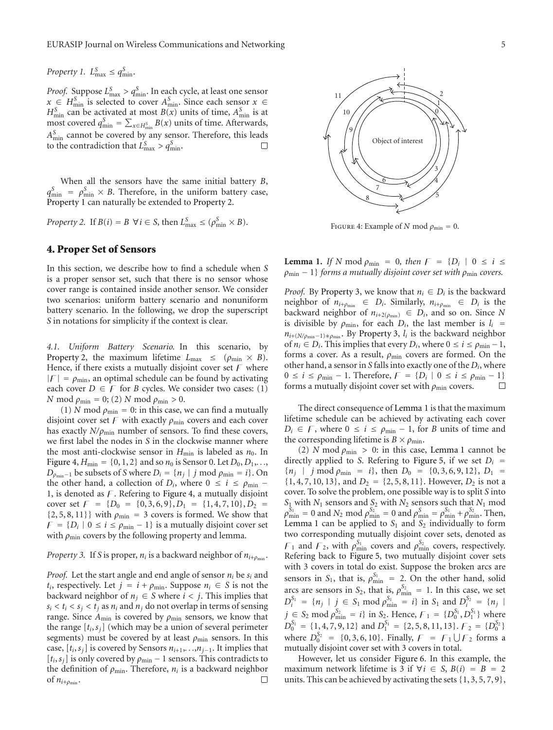*Proof.* Suppose  $L_{\text{max}}^S > q_{\text{min}}^S$ . In each cycle, at least one sensor  $x \in H_{\min}^S$  is selected to cover  $A_{\min}^S$ . Since each sensor  $x \in$  $H_{\text{min}}^S$  can be activated at most  $B(x)$  units of time,  $A_{\text{min}}^S$  is at most covered  $q_{\min}^S = \sum_{x \in H_{\min}^S} B(x)$  units of time. Afterwards, *A*<sub>min</sub> cannot be covered by any sensor. Therefore, this leads to the contradiction that  $L_{\text{max}}^S > q_{\text{min}}^S$ .

When all the sensors have the same initial battery *B*,  $q_{\text{min}}^S = \rho_{\text{min}}^S \times B$ . Therefore, in the uniform battery case, Property 1 can naturally be extended to Property 2.

*Property 2.* If  $B(i) = B \ \forall i \in S$ , then  $L_{\text{max}}^S \leq (\rho_{\text{min}}^S \times B)$ .

## **4. Proper Set of Sensors**

In this section, we describe how to find a schedule when *S* is a proper sensor set, such that there is no sensor whose cover range is contained inside another sensor. We consider two scenarios: uniform battery scenario and nonuniform battery scenario. In the following, we drop the superscript *S* in notations for simplicity if the context is clear.

*4.1. Uniform Battery Scenario.* In this scenario, by Property 2, the maximum lifetime  $L_{\text{max}} \leq (\rho_{\text{min}} \times B)$ . Hence, if there exists a mutually disjoint cover set  $\digamma$  where  $|F| = \rho_{\min}$ , an optimal schedule can be found by activating each cover  $D \in F$  for *B* cycles. We consider two cases: (1) *N* mod  $\rho_{\min} = 0$ ; (2) *N* mod  $\rho_{\min} > 0$ .

(1) *N* mod  $\rho_{\text{min}} = 0$ : in this case, we can find a mutually disjoint cover set  $F$  with exactly  $\rho_{\min}$  covers and each cover has exactly *N/ρ*min number of sensors. To find these covers, we first label the nodes in *S* in the clockwise manner where the most anti-clockwise sensor in  $H_{\text{min}}$  is labeled as  $n_0$ . In Figure 4,  $H_{\text{min}} = \{0, 1, 2\}$  and so  $n_0$  is Sensor 0. Let  $D_0, D_1, \ldots$ , *D*<sub> $\rho_{\min}$ −1 be subsets of *S* where  $D_i = \{n_j | j \text{ mod } \rho_{\min} = i\}$ . On</sub> the other hand, a collection of  $D_i$ , where  $0 \le i \le \rho_{\min}$  – 1, is denoted as  $F$ . Refering to Figure 4, a mutually disjoint cover set  $F = \{D_0 = \{0, 3, 6, 9\}, D_1 = \{1, 4, 7, 10\}, D_2 =$  $\{2, 5, 8, 11\}$  with  $\rho_{\min} = 3$  covers is formed. We show that  $F = {D_i | 0 \le i \le \rho_{\min} - 1}$  is a mutually disjoint cover set with  $\rho_{\rm min}$  covers by the following property and lemma.

#### *Property 3.* If *S* is proper,  $n_i$  is a backward neighbor of  $n_{i+\rho_{\min}}$ .

*Proof.* Let the start angle and end angle of sensor *ni* be *si* and *t<sub>i</sub>*, respectively. Let  $j = i + \rho_{\min}$ . Suppose  $n_i \in S$  is not the backward neighbor of  $n_j \in S$  where  $i < j$ . This implies that  $s_i < t_i < s_j < t_j$  as  $n_i$  and  $n_j$  do not overlap in terms of sensing range. Since  $A_{\text{min}}$  is covered by  $\rho_{\text{min}}$  sensors, we know that the range  $[t_i, s_j]$  (which may be a union of several perimeter segments) must be covered by at least  $\rho_{\min}$  sensors. In this case,  $[t_i, s_j]$  is covered by Sensors  $n_{i+1}, \ldots, n_{j-1}$ . It implies that  $[t_i, s_j]$  is only covered by  $\rho_{\min} - 1$  sensors. This contradicts to the definition of  $\rho_{\min}$ . Therefore,  $n_i$  is a backward neighbor of  $n_{i+\rho_{\min}}$ .  $\Box$ 



FIGURE 4: Example of *N* mod  $\rho_{\min} = 0$ .

**Lemma 1.** *If N* mod  $\rho_{\min} = 0$ , then  $F = \{D_i \mid 0 \le i \le n\}$ *ρ*min − 1} *forms a mutually disjoint cover set with ρ*min *covers.*

*Proof.* By Property 3, we know that  $n_i \in D_i$  is the backward neighbor of  $n_{i+\rho_{\min}} \in D_i$ . Similarly,  $n_{i+\rho_{\min}} \in D_i$  is the backward neighbor of  $n_{i+2(\rho_{\min})} \in D_i$ , and so on. Since *N* is divisible by  $\rho_{\min}$ , for each  $D_i$ , the last member is  $l_i$ *n*<sub>*i*+(*N*/ $\rho$ <sub>min</sub>−1)∗ $\rho$ <sub>min</sub>. By Property 3, *l<sub>i</sub>* is the backward neighbor</sub> of  $n_i \in D_i$ . This implies that every  $D_i$ , where  $0 \le i \le \rho_{\min} - 1$ , forms a cover. As a result,  $\rho_{\min}$  covers are formed. On the other hand, a sensor in *S* falls into exactly one of the *Di*, where  $0 \le i \le \rho_{\min} - 1$ . Therefore,  $F = {D_i \mid 0 \le i \le \rho_{\min} - 1}$  forms a mutually disjoint cover set with  $\rho_{\min}$  covers. □ forms a mutually disjoint cover set with  $\rho_{\min}$  covers.

The direct consequence of Lemma 1 is that the maximum lifetime schedule can be achieved by activating each cover  $D_i \in F$ , where  $0 \le i \le \rho_{\min} - 1$ , for *B* units of time and the corresponding lifetime is  $B \times \rho_{\min}$ .

(2) *N* mod  $\rho_{\text{min}} > 0$ : in this case, Lemma 1 cannot be directly applied to *S*. Refering to Figure 5, if we set  $D_i$  =  ${n_j}$  | *j* mod  $\rho_{\text{min}} = i$ , then  $D_0 = \{0, 3, 6, 9, 12\}$ ,  $D_1 =$  $\{1, 4, 7, 10, 13\}$ , and  $D_2 = \{2, 5, 8, 11\}$ . However,  $D_2$  is not a cover. To solve the problem, one possible way is to split *S* into *S*<sup>1</sup> with *N*<sup>1</sup> sensors and *S*<sup>2</sup> with *N*<sup>2</sup> sensors such that *N*<sup>1</sup> mod  $\rho_{\min}^{S_1} = 0$  and  $N_2$  mod  $\rho_{\min}^{S_2} = 0$  and  $\rho_{\min}^{S} = \rho_{\min}^{S_1} + \rho_{\min}^{S_2}$ . Then, Lemma 1 can be applied to  $S_1$  and  $S_2$  individually to form two corresponding mutually disjoint cover sets, denoted as  $F_1$  and  $F_2$ , with  $\rho_{\min}^{S_1}$  covers and  $\rho_{\min}^{S_2}$  covers, respectively. Refering back to Figure 5, two mutually disjoint cover sets with 3 covers in total do exist. Suppose the broken arcs are sensors in  $S_1$ , that is,  $\rho_{\min}^{S_1} = 2$ . On the other hand, solid arcs are sensors in  $S_2$ , that is,  $\rho_{\min}^{S_2} = 1$ . In this case, we set  $D_i^{S_1} = \{n_j | j \in S_1 \text{ mod } \rho_{\text{min}}^{S_1} = i\}$  in  $S_1$  and  $D_i^{S_2} = \{n_j | j \in S_2\}$  $j \in S_2 \text{ mod } \rho_{\min}^{S_2} = i$ } in  $S_2$ . Hence,  $F_1 = \{D_0^{S_1}, D_1^{S_1}\}\$  where  $D_0^{S_1} = \{1, 4, 7, 9, 12\}$  and  $D_1^{S_1} = \{2, 5, 8, 11, 13\}$ .  $F_2 = \{D_0^{S_2}\}$ where  $D_0^{S_2} = \{0, 3, 6, 10\}$ . Finally,  $F = F_1 \bigcup F_2$  forms a mutually disjoint cover set with 3 covers in total.

However, let us consider Figure 6. In this example, the maximum network lifetime is 3 if  $\forall i \in S$ ,  $B(i) = B = 2$ units. This can be achieved by activating the sets {1, 3, 5, 7, 9},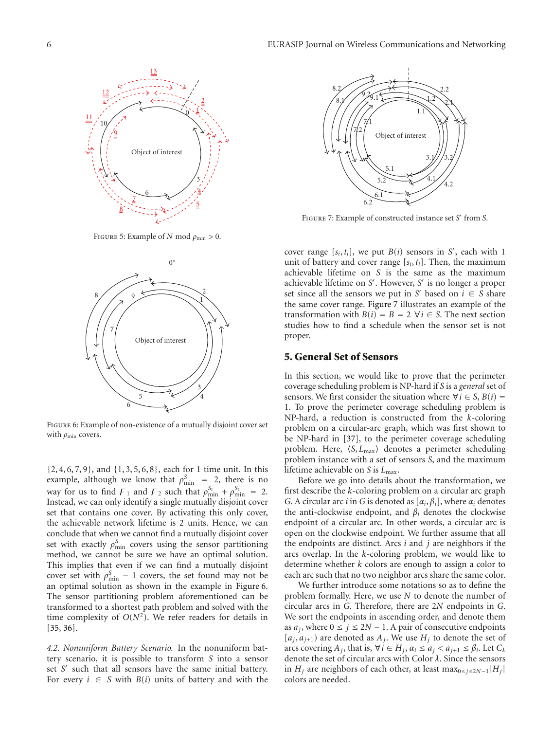

FIGURE 5: Example of *N* mod  $\rho_{\min} > 0$ .



Figure 6: Example of non-existence of a mutually disjoint cover set with *ρ*<sub>min</sub> covers.

 $\{2, 4, 6, 7, 9\}$ , and  $\{1, 3, 5, 6, 8\}$ , each for 1 time unit. In this example, although we know that  $\rho_{\min}^S = 2$ , there is no way for us to find  $F_1$  and  $F_2$  such that  $\rho_{\min}^{S_1} + \rho_{\min}^{S_2} = 2$ . Instead, we can only identify a single mutually disjoint cover set that contains one cover. By activating this only cover, the achievable network lifetime is 2 units. Hence, we can conclude that when we cannot find a mutually disjoint cover set with exactly  $\rho_{\min}^S$  covers using the sensor partitioning method, we cannot be sure we have an optimal solution. This implies that even if we can find a mutually disjoint cover set with  $\rho_{\min}^S - 1$  covers, the set found may not be an optimal solution as shown in the example in Figure 6. The sensor partitioning problem aforementioned can be transformed to a shortest path problem and solved with the time complexity of  $O(N^2)$ . We refer readers for details in [35, 36].

*4.2. Nonuniform Battery Scenario.* In the nonuniform battery scenario, it is possible to transform *S* into a sensor set *S*<sup> $\prime$ </sup> such that all sensors have the same initial battery. For every  $i \in S$  with  $B(i)$  units of battery and with the



Figure 7: Example of constructed instance set *S* from *S*.

cover range  $[s_i, t_i]$ , we put  $B(i)$  sensors in *S*<sup>'</sup>, each with 1 unit of battery and cover range  $[s_i, t_i]$ . Then, the maximum achievable lifetime on *S* is the same as the maximum achievable lifetime on *S'*. However, *S'* is no longer a proper set since all the sensors we put in *S*<sup> $\prime$ </sup> based on  $i \in S$  share the same cover range. Figure 7 illustrates an example of the transformation with  $B(i) = B = 2 \ \forall i \in S$ . The next section studies how to find a schedule when the sensor set is not proper.

## **5. General Set of Sensors**

In this section, we would like to prove that the perimeter coverage scheduling problem is NP-hard if *S* is a *general* set of sensors. We first consider the situation where  $\forall i \in S$ ,  $B(i)$  = 1. To prove the perimeter coverage scheduling problem is NP-hard, a reduction is constructed from the *k*-coloring problem on a circular-arc graph, which was first shown to be NP-hard in [37], to the perimeter coverage scheduling problem. Here,  $\langle S, L_{\text{max}} \rangle$  denotes a perimeter scheduling problem instance with a set of sensors *S*, and the maximum lifetime achievable on *S* is *L*max.

Before we go into details about the transformation, we first describe the *k*-coloring problem on a circular arc graph *G*. A circular arc *i* in *G* is denoted as  $[\alpha_i, \beta_i]$ , where  $\alpha_i$  denotes the anti-clockwise endpoint, and *βi* denotes the clockwise endpoint of a circular arc. In other words, a circular arc is open on the clockwise endpoint. We further assume that all the endpoints are distinct. Arcs *i* and *j* are neighbors if the arcs overlap. In the *k*-coloring problem, we would like to determine whether *k* colors are enough to assign a color to each arc such that no two neighbor arcs share the same color.

We further introduce some notations so as to define the problem formally. Here, we use *N* to denote the number of circular arcs in *G*. Therefore, there are 2*N* endpoints in *G*. We sort the endpoints in ascending order, and denote them as  $a_j$ , where  $0 \le j \le 2N - 1$ . A pair of consecutive endpoints  $[a_j, a_{j+1})$  are denoted as  $A_j$ . We use  $H_j$  to denote the set of arcs covering  $A_j$ , that is,  $\forall i \in H_j$ ,  $\alpha_i \le a_j < a_{j+1} \le \beta_i$ . Let  $C_\lambda$ denote the set of circular arcs with Color *λ*. Since the sensors in *H<sub>j</sub>* are neighbors of each other, at least max<sub>0≤*j*≤2*N*−1</sub>|*H<sub>j</sub>*| colors are needed.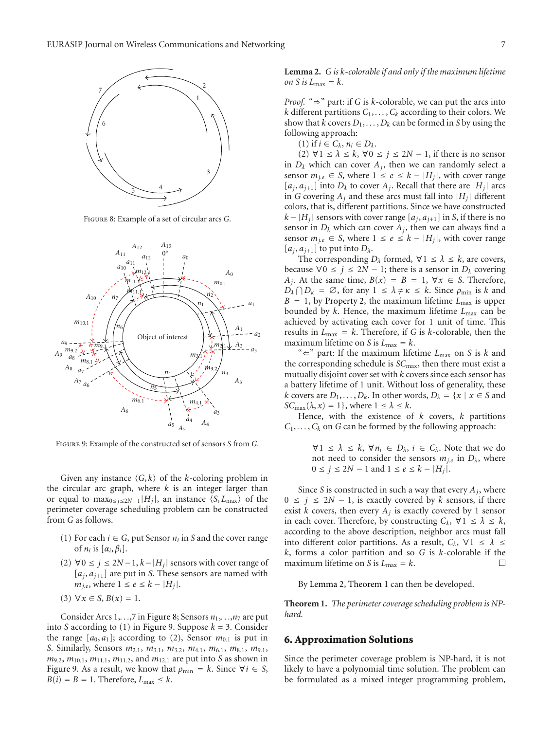

Figure 8: Example of a set of circular arcs *G*.



Figure 9: Example of the constructed set of sensors *S* from *G*.

Given any instance  $\langle G, k \rangle$  of the *k*-coloring problem in the circular arc graph, where *k* is an integer larger than or equal to  $\max_{0 \le j \le 2N-1} |H_j|$ , an instance  $\langle S, L_{\max} \rangle$  of the perimeter coverage scheduling problem can be constructed from *G* as follows.

- (1) For each  $i \in G$ , put Sensor  $n_i$  in *S* and the cover range of  $n_i$  is  $[\alpha_i, \beta_i]$ .
- (2) ∀0 ≤  $j \le 2N-1$ ,  $k-|H_j|$  sensors with cover range of  $[a_j, a_{j+1}]$  are put in *S*. These sensors are named with  $m_{j.e}$ , where  $1 \le e \le k - |H_j|$ .

$$
(3) \ \forall x \in S, B(x) = 1.
$$

Consider Arcs 1,*...*,7 in Figure 8; Sensors *n*1,*...*,*n*<sup>7</sup> are put into *S* according to (1) in Figure 9. Suppose *k* = 3. Consider the range  $[a_0, a_1]$ ; according to (2), Sensor  $m_{0,1}$  is put in *S*. Similarly, Sensors *m*<sup>2</sup>*.*1, *m*<sup>3</sup>*.*1, *m*<sup>3</sup>*.*2, *m*<sup>4</sup>*.*1, *m*<sup>6</sup>*.*1, *m*<sup>8</sup>*.*1, *m*<sup>9</sup>*.*1,  $m_{9.2}, m_{10.1}, m_{11.1}, m_{11.2},$  and  $m_{12.1}$  are put into *S* as shown in Figure 9. As a result, we know that  $\rho_{\min} = k$ . Since  $\forall i \in S$ ,  $B(i) = B = 1$ . Therefore,  $L_{\text{max}} \leq k$ .

**Lemma 2.** *G is k-colorable if and only if the maximum lifetime on S is*  $L_{\text{max}} = k$ *.* 

*Proof.* "⇒" part: if *G* is *k*-colorable, we can put the arcs into *k* different partitions  $C_1, \ldots, C_k$  according to their colors. We show that  $k$  covers  $D_1, \ldots, D_k$  can be formed in *S* by using the following approach:

(1) if  $i \in C_{\lambda}$ ,  $n_i \in D_{\lambda}$ .

(2) ∀1 ≤  $\lambda$  ≤  $k$ , ∀0 ≤  $j$  ≤ 2*N* − 1, if there is no sensor in  $D_{\lambda}$  which can cover  $A_j$ , then we can randomly select a sensor  $m_{j,e}$  ∈ *S*, where  $1 ≤ e ≤ k - |H_j|$ , with cover range  $[a_j, a_{j+1}]$  into  $D_\lambda$  to cover  $A_j$ . Recall that there are  $|H_j|$  arcs in *G* covering  $A_i$  and these arcs must fall into  $|H_i|$  different colors, that is, different partitions. Since we have constructed  $k - |H_i|$  sensors with cover range  $[a_j, a_{j+1}]$  in *S*, if there is no sensor in  $D_\lambda$  which can cover  $A_j$ , then we can always find a sensor  $m_{j,e}$  ∈ *S*, where  $1 ≤ e ≤ k - |H_j|$ , with cover range  $[a_j, a_{j+1}]$  to put into  $D_\lambda$ .

The corresponding  $D_{\lambda}$  formed,  $\forall 1 \leq \lambda \leq k$ , are covers, because  $\forall 0 \le j \le 2N - 1$ ; there is a sensor in  $D_{\lambda}$  covering *A<sub>j</sub>*. At the same time,  $B(x) = B = 1$ ,  $\forall x \in S$ . Therefore,  $D_{\lambda} \cap D_{\kappa} = \emptyset$ , for any  $1 \leq \lambda \neq \kappa \leq k$ . Since  $\rho_{\min}$  is *k* and  $B = 1$ , by Property 2, the maximum lifetime  $L_{\text{max}}$  is upper bounded by *k*. Hence, the maximum lifetime *L*max can be achieved by activating each cover for 1 unit of time. This results in  $L_{\text{max}} = k$ . Therefore, if *G* is *k*-colorable, then the maximum lifetime on *S* is  $L_{\text{max}} = k$ .

" $\Leftarrow$ " part: If the maximum lifetime  $L_{\text{max}}$  on *S* is *k* and the corresponding schedule is *SC*max, then there must exist a mutually disjoint cover set with *k* covers since each sensor has a battery lifetime of 1 unit. Without loss of generality, these *k* covers are  $D_1, \ldots, D_k$ . In other words,  $D_\lambda = \{x \mid x \in S \text{ and }$  $SC<sub>max</sub>(\lambda, x) = 1$ , where  $1 \leq \lambda \leq k$ .

Hence, with the existence of *k* covers, *k* partitions  $C_1, \ldots, C_k$  on *G* can be formed by the following approach:

> $\forall 1 \leq \lambda \leq k$ ,  $\forall n_i \in D_\lambda$ ,  $i \in C_\lambda$ . Note that we do not need to consider the sensors  $m_{i,e}$  in  $D_\lambda$ , where 0 ≤ *j* ≤ 2*N* − 1 and 1 ≤ *e* ≤ *k* − |*Hj*|.

Since *S* is constructed in such a way that every *Aj*, where  $0 \leq j \leq 2N - 1$ , is exactly covered by *k* sensors, if there exist *k* covers, then every  $A_j$  is exactly covered by 1 sensor in each cover. Therefore, by constructing  $C_{\lambda}$ ,  $\forall 1 \leq \lambda \leq k$ , according to the above description, neighbor arcs must fall into different color partitions. As a result,  $C_{\lambda}$ ,  $\forall 1 \leq \lambda \leq$ *k*, forms a color partition and so *G* is *k*-colorable if the maximum lifetime on *S* is  $L_{\text{max}} = k$ .  $\Box$ 

By Lemma 2, Theorem 1 can then be developed.

**Theorem 1.** *The perimeter coverage scheduling problem is NPhard.*

#### **6. Approximation Solutions**

Since the perimeter coverage problem is NP-hard, it is not likely to have a polynomial time solution. The problem can be formulated as a mixed integer programming problem,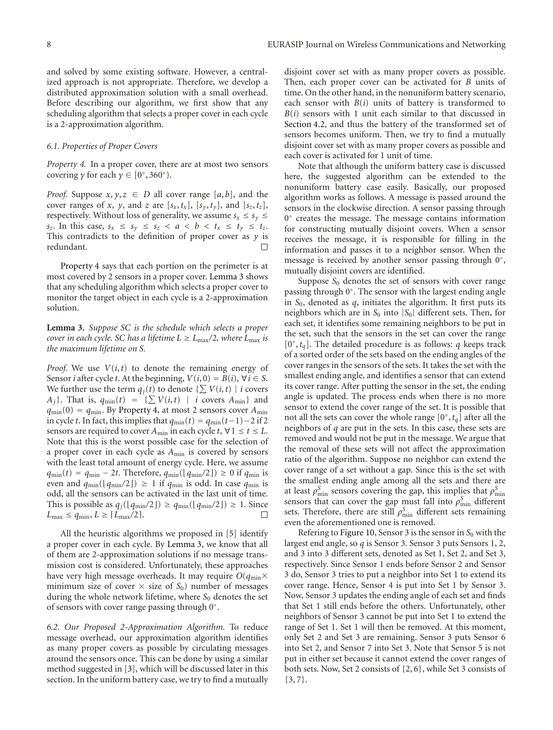and solved by some existing software. However, a centralized approach is not appropriate. Therefore, we develop a distributed approximation solution with a small overhead. Before describing our algorithm, we first show that any scheduling algorithm that selects a proper cover in each cycle is a 2-approximation algorithm.

#### *6.1. Properties of Proper Covers*

*Property 4.* In a proper cover, there are at most two sensors covering *γ* for each  $\gamma \in [0^{\circ}, 360^{\circ})$ .

*Proof.* Suppose  $x, y, z \in D$  all cover range [a, b], and the cover ranges of *x*, *y*, and *z* are  $[s_x, t_x]$ ,  $[s_y, t_y]$ , and  $[s_z, t_z]$ , respectively. Without loss of generality, we assume  $s_x \leq s_y \leq$ *sz*. In this case,  $s_x \leq s_y \leq s_z \leq a \leq b \leq t_x \leq t_y \leq t_z$ . This contradicts to the definition of proper cover as  $y$  is redundant.  $\Box$ 

Property 4 says that each portion on the perimeter is at most covered by 2 sensors in a proper cover. Lemma 3 shows that any scheduling algorithm which selects a proper cover to monitor the target object in each cycle is a 2-approximation solution.

**Lemma 3.** *Suppose SC is the schedule which selects a proper cover in each cycle. SC has a lifetime*  $L \ge L_{\text{max}}/2$ *, where*  $L_{\text{max}}$  *is the maximum lifetime on S.*

*Proof.* We use  $V(i, t)$  to denote the remaining energy of Sensor *i* after cycle *t*. At the beginning,  $V(i, 0) = B(i)$ ,  $\forall i \in S$ . We further use the term  $q_j(t)$  to denote  $\{\sum V(i,t) \mid i \text{ covers}\}$ *A<sub>j</sub>*}. That is,  $q_{min}(t) = {\sum V(i, t) \mid i \text{ covers } A_{min}}$  and  $q_{\text{min}}(0) = q_{\text{min}}$ . By Property 4, at most 2 sensors cover  $A_{\text{min}}$ in cycle *t*. In fact, this implies that *q*min(*t*) = *q*min(*t*−1)−2 if 2 sensors are required to cover  $A_{\text{min}}$  in each cycle  $t$ ,  $\forall 1 \le t \le L$ . Note that this is the worst possible case for the selection of a proper cover in each cycle as *A*min is covered by sensors with the least total amount of energy cycle. Here, we assume  $q_{\text{min}}(t) = q_{\text{min}} - 2t$ . Therefore,  $q_{\text{min}}(\lfloor q_{\text{min}}/2 \rfloor) \ge 0$  if  $q_{\text{min}}$  is even and  $q_{\text{min}}(\lfloor q_{\text{min}}/2 \rfloor) \ge 1$  if  $q_{\text{min}}$  is odd. In case  $q_{\text{min}}$  is odd, all the sensors can be activated in the last unit of time. This is possible as  $q_j(\lfloor q_{\min}/2 \rfloor) \ge q_{\min}(\lfloor q_{\min}/2 \rfloor) \ge 1$ . Since  $L_{\text{max}} \leq q_{\text{min}}$ ,  $L \geq \lceil L_{\text{max}}/2 \rceil$ .

All the heuristic algorithms we proposed in [5] identify a proper cover in each cycle. By Lemma 3, we know that all of them are 2-approximation solutions if no message transmission cost is considered. Unfortunately, these approaches have very high message overheads. It may require  $O(q_{\text{min}} \times$ minimum size of cover  $\times$  size of  $S_0$ ) number of messages during the whole network lifetime, where S<sub>0</sub> denotes the set of sensors with cover range passing through 0◦.

*6.2. Our Proposed 2-Approximation Algorithm.* To reduce message overhead, our approximation algorithm identifies as many proper covers as possible by circulating messages around the sensors once. This can be done by using a similar method suggested in [3], which will be discussed later in this section. In the uniform battery case, we try to find a mutually

disjoint cover set with as many proper covers as possible. Then, each proper cover can be activated for *B* units of time. On the other hand, in the nonuniform battery scenario, each sensor with *B*(*i*) units of battery is transformed to *B*(*i*) sensors with 1 unit each similar to that discussed in Section 4.2, and thus the battery of the transformed set of sensors becomes uniform. Then, we try to find a mutually disjoint cover set with as many proper covers as possible and each cover is activated for 1 unit of time.

Note that although the uniform battery case is discussed here, the suggested algorithm can be extended to the nonuniform battery case easily. Basically, our proposed algorithm works as follows. A message is passed around the sensors in the clockwise direction. A sensor passing through 0◦ creates the message. The message contains information for constructing mutually disjoint covers. When a sensor receives the message, it is responsible for filling in the information and passes it to a neighbor sensor. When the message is received by another sensor passing through 0◦, mutually disjoint covers are identified.

Suppose  $S_0$  denotes the set of sensors with cover range passing through 0◦. The sensor with the largest ending angle in *S*0, denoted as *q*, initiates the algorithm. It first puts its neighbors which are in  $S_0$  into  $|S_0|$  different sets. Then, for each set, it identifies some remaining neighbors to be put in the set, such that the sensors in the set can cover the range [0◦,*tq*]. The detailed procedure is as follows: *q* keeps track of a sorted order of the sets based on the ending angles of the cover ranges in the sensors of the sets. It takes the set with the smallest ending angle, and identifies a sensor that can extend its cover range. After putting the sensor in the set, the ending angle is updated. The process ends when there is no more sensor to extend the cover range of the set. It is possible that not all the sets can cover the whole range  $[0^\circ, t_a]$  after all the neighbors of *q* are put in the sets. In this case, these sets are removed and would not be put in the message. We argue that the removal of these sets will not affect the approximation ratio of the algorithm. Suppose no neighbor can extend the cover range of a set without a gap. Since this is the set with the smallest ending angle among all the sets and there are at least  $\rho_{\min}^S$  sensors covering the gap, this implies that  $\rho_{\min}^S$ sensors that can cover the gap must fall into  $\rho_{\min}^S$  different sets. Therefore, there are still  $\rho_{\min}^S$  different sets remaining even the aforementioned one is removed.

Refering to Figure 10, Sensor 3 is the sensor in *S*<sup>0</sup> with the largest end angle, so *q* is Sensor 3. Sensor 3 puts Sensors 1, 2, and 3 into 3 different sets, denoted as Set 1, Set 2, and Set 3, respectively. Since Sensor 1 ends before Sensor 2 and Sensor 3 do, Sensor 3 tries to put a neighbor into Set 1 to extend its cover range. Hence, Sensor 4 is put into Set 1 by Sensor 3. Now, Sensor 3 updates the ending angle of each set and finds that Set 1 still ends before the others. Unfortunately, other neighbors of Sensor 3 cannot be put into Set 1 to extend the range of Set 1. Set 1 will then be removed. At this moment, only Set 2 and Set 3 are remaining. Sensor 3 puts Sensor 6 into Set 2, and Sensor 7 into Set 3. Note that Sensor 5 is not put in either set because it cannot extend the cover ranges of both sets. Now, Set 2 consists of {2, 6}, while Set 3 consists of {3, 7}.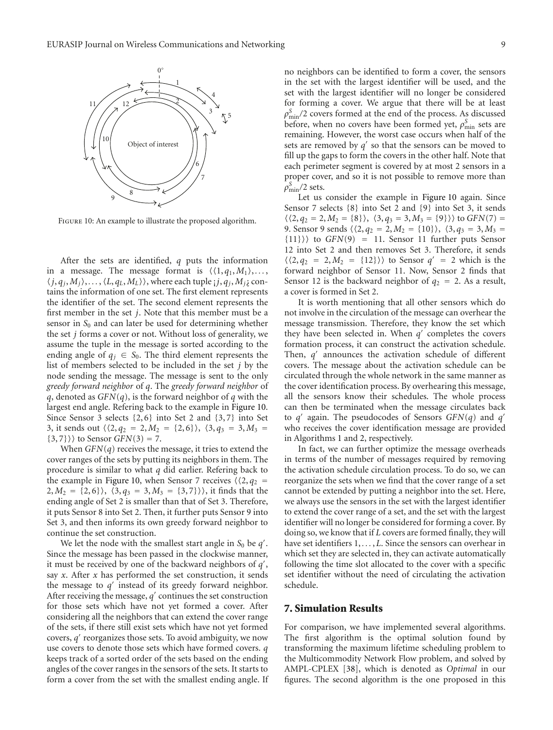

Figure 10: An example to illustrate the proposed algorithm.

After the sets are identified, *q* puts the information in a message. The message format is  $\langle \langle 1, q_1, M_1 \rangle, \ldots,$  $\langle j, q_j, M_j \rangle, \ldots, \langle L, q_L, M_L \rangle$ , where each tuple  $j, q_j, M_j$  contains the information of one set. The first element represents the identifier of the set. The second element represents the first member in the set *j*. Note that this member must be a sensor in  $S_0$  and can later be used for determining whether the set *j* forms a cover or not. Without loss of generality, we assume the tuple in the message is sorted according to the ending angle of  $q_i \in S_0$ . The third element represents the list of members selected to be included in the set *j* by the node sending the message. The message is sent to the only *greedy forward neighbor* of *q*. The *greedy forward neighbor* of *q*, denoted as *GFN*(*q*), is the forward neighbor of *q* with the largest end angle. Refering back to the example in Figure 10. Since Sensor 3 selects {2, 6} into Set 2 and {3, 7} into Set 3, it sends out  $\langle \langle 2, q_2 = 2, M_2 = \{2, 6\} \rangle$ ,  $\langle 3, q_3 = 3, M_3 =$  $\{3, 7\}$ ) to Sensor *GFN*(3) = 7.

When *GFN*(*q*) receives the message, it tries to extend the cover ranges of the sets by putting its neighbors in them. The procedure is similar to what *q* did earlier. Refering back to the example in Figure 10, when Sensor 7 receives  $(2, q_2 =$  $2, M_2 = \{2, 6\}$ ,  $\langle 3, q_3 = 3, M_3 = \{3, 7\} \rangle$ , it finds that the ending angle of Set 2 is smaller than that of Set 3. Therefore, it puts Sensor 8 into Set 2. Then, it further puts Sensor 9 into Set 3, and then informs its own greedy forward neighbor to continue the set construction.

We let the node with the smallest start angle in  $S_0$  be  $q'$ . Since the message has been passed in the clockwise manner, it must be received by one of the backward neighbors of *q* , say *x*. After *x* has performed the set construction, it sends the message to  $q'$  instead of its greedy forward neighbor. After receiving the message,  $q'$  continues the set construction for those sets which have not yet formed a cover. After considering all the neighbors that can extend the cover range of the sets, if there still exist sets which have not yet formed covers,  $q'$  reorganizes those sets. To avoid ambiguity, we now use covers to denote those sets which have formed covers. *q* keeps track of a sorted order of the sets based on the ending angles of the cover ranges in the sensors of the sets. It starts to form a cover from the set with the smallest ending angle. If no neighbors can be identified to form a cover, the sensors in the set with the largest identifier will be used, and the set with the largest identifier will no longer be considered for forming a cover. We argue that there will be at least  $\rho_{\min}^S/2$  covers formed at the end of the process. As discussed before, when no covers have been formed yet,  $\rho_{\min}^S$  sets are remaining. However, the worst case occurs when half of the sets are removed by  $q'$  so that the sensors can be moved to fill up the gaps to form the covers in the other half. Note that each perimeter segment is covered by at most 2 sensors in a proper cover, and so it is not possible to remove more than  $\rho_{\min}^S/2$  sets.

Let us consider the example in Figure 10 again. Since Sensor 7 selects {8} into Set 2 and {9} into Set 3, it sends  $\langle \langle 2, q_2 = 2, M_2 = \{8\} \rangle$ ,  $\langle 3, q_3 = 3, M_3 = \{9\} \rangle$  to  $GFN(7) =$ 9. Sensor 9 sends  $\langle 2, q_2 = 2, M_2 = \{10\}\rangle$ ,  $\langle 3, q_3 = 3, M_3 =$  ${11}\rangle$  to  $GFN(9) = 11$ . Sensor 11 further puts Sensor 12 into Set 2 and then removes Set 3. Therefore, it sends  $\langle (2, q_2 = 2, M_2 = \{12\}) \rangle$  to Sensor  $q' = 2$  which is the forward neighbor of Sensor 11. Now, Sensor 2 finds that Sensor 12 is the backward neighbor of  $q_2 = 2$ . As a result, a cover is formed in Set 2.

It is worth mentioning that all other sensors which do not involve in the circulation of the message can overhear the message transmission. Therefore, they know the set which they have been selected in. When  $q'$  completes the covers formation process, it can construct the activation schedule. Then, *q'* announces the activation schedule of different covers. The message about the activation schedule can be circulated through the whole network in the same manner as the cover identification process. By overhearing this message, all the sensors know their schedules. The whole process can then be terminated when the message circulates back to *q* again. The pseudocodes of Sensors *GFN*(*q*) and *q* who receives the cover identification message are provided in Algorithms 1 and 2, respectively.

In fact, we can further optimize the message overheads in terms of the number of messages required by removing the activation schedule circulation process. To do so, we can reorganize the sets when we find that the cover range of a set cannot be extended by putting a neighbor into the set. Here, we always use the sensors in the set with the largest identifier to extend the cover range of a set, and the set with the largest identifier will no longer be considered for forming a cover. By doing so, we know that if *L* covers are formed finally, they will have set identifiers 1, *...* , *L*. Since the sensors can overhear in which set they are selected in, they can activate automatically following the time slot allocated to the cover with a specific set identifier without the need of circulating the activation schedule.

#### **7. Simulation Results**

For comparison, we have implemented several algorithms. The first algorithm is the optimal solution found by transforming the maximum lifetime scheduling problem to the Multicommodity Network Flow problem, and solved by AMPL-CPLEX [38], which is denoted as *Optimal* in our figures. The second algorithm is the one proposed in this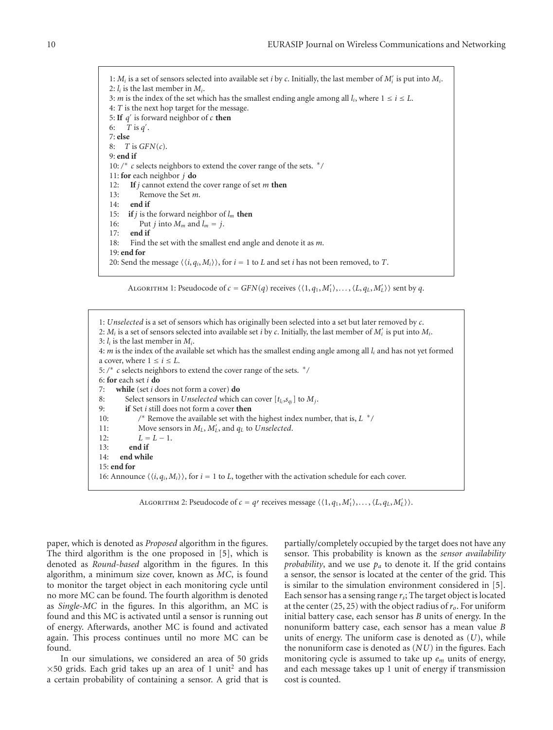1:  $M_i$  is a set of sensors selected into available set *i* by *c*. Initially, the last member of  $M'_i$  is put into  $M_i$ . 2:  $l_i$  is the last member in  $M_i$ . 3: *m* is the index of the set which has the smallest ending angle among all  $l_i$ , where  $1 \le i \le L$ . 4: *T* is the next hop target for the message. 5: If  $q'$  is forward neighbor of  $c$  then 6:  $T$  is  $q'$ . 7: **else** 8: *T* is *GFN*(*c*). 9: **end if** 10: */*<sup>∗</sup> *c* selects neighbors to extend the cover range of the sets. <sup>∗</sup>*/* 11: **for** each neighbor *j* **do** 12: **If** *j* cannot extend the cover range of set *m* **then** 13: Remove the Set *m*. 14: **end if** 15: **if** *j* is the forward neighbor of  $l_m$  **then** 16: Put *j* into  $M_m$  and  $l_m = j$ .<br>17: **end if** end if 18: Find the set with the smallest end angle and denote it as *m*. 19: **end for** 20: Send the message  $\langle \langle i, q_i, M_i \rangle \rangle$ , for  $i = 1$  to *L* and set *i* has not been removed, to *T*.

Algorithm 1: Pseudocode of  $c = GFN(q)$  receives  $\langle \langle 1, q_1, M'_1 \rangle, \ldots, \langle L, q_L, M'_L \rangle \rangle$  sent by  $q$ .

1: *Unselected* is a set of sensors which has originally been selected into a set but later removed by *c*. 2:  $M_i$  is a set of sensors selected into available set *i* by *c*. Initially, the last member of  $M'_i$  is put into  $M_i$ . 3:  $l_i$  is the last member in  $M_i$ . 4: *m* is the index of the available set which has the smallest ending angle among all *li* and has not yet formed a cover, where  $1 \le i \le L$ . 5: */*<sup>∗</sup> *c* selects neighbors to extend the cover range of the sets. <sup>∗</sup>*/* 6: **for** each set *i* **do** 7: **while** (set *i* does not form a cover) **do** 8: Select sensors in *Unselected* which can cover  $[t_i, s_{q_i}]$  to  $M_j$ .<br>9. **if** Set *i* still does not form a cover then 9: **if** Set *i* still does not form a cover **then** 10: */*<sup>∗</sup> Remove the available set with the highest index number, that is, *L* <sup>∗</sup>*/* 11: Move sensors in  $M_L$ ,  $M'_L$ , and  $q_L$  to *Unselected*. 12:  $L = L - 1$ .<br>13: **end if** end if 14: **end while** 15: **end for** 16: Announce  $\langle \langle i, q_i, M_i \rangle \rangle$ , for  $i = 1$  to *L*, together with the activation schedule for each cover.

ALGORITHM 2: Pseudocode of  $c = q$ <sup>,</sup> receives message  $\langle \langle 1, q_1, M'_1 \rangle, \ldots, \langle L, q_L, M'_L \rangle \rangle$ .

paper, which is denoted as *Proposed* algorithm in the figures. The third algorithm is the one proposed in [5], which is denoted as *Round-based* algorithm in the figures. In this algorithm, a minimum size cover, known as *MC*, is found to monitor the target object in each monitoring cycle until no more MC can be found. The fourth algorithm is denoted as *Single-MC* in the figures. In this algorithm, an MC is found and this MC is activated until a sensor is running out of energy. Afterwards, another MC is found and activated again. This process continues until no more MC can be found.

In our simulations, we considered an area of 50 grids  $\times$ 50 grids. Each grid takes up an area of 1 unit<sup>2</sup> and has a certain probability of containing a sensor. A grid that is

partially/completely occupied by the target does not have any sensor. This probability is known as the *sensor availability probability*, and we use  $p_a$  to denote it. If the grid contains a sensor, the sensor is located at the center of the grid. This is similar to the simulation environment considered in [5]. Each sensor has a sensing range *rs*; The target object is located at the center  $(25, 25)$  with the object radius of  $r<sub>o</sub>$ . For uniform initial battery case, each sensor has *B* units of energy. In the nonuniform battery case, each sensor has a mean value *B* units of energy. The uniform case is denoted as (*U*), while the nonuniform case is denoted as (*NU*) in the figures. Each monitoring cycle is assumed to take up *em* units of energy, and each message takes up 1 unit of energy if transmission cost is counted.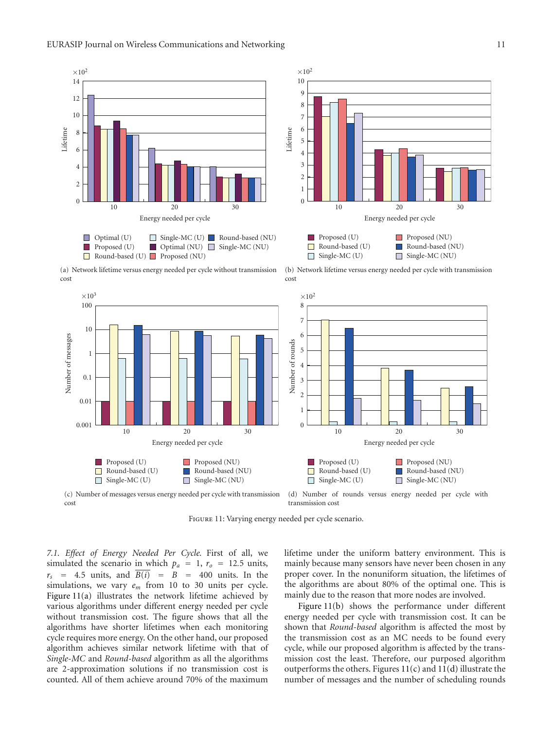



(a) Network lifetime versus energy needed per cycle without transmission cost

10 20 30 Energy needed per cycle



cost

Proposed (U) Proposed (NU) Proposed (U) Proposed (NU) П Round-based (U) Round-based (NU) Round-based (U) Round-based (NU)  $\overline{\mathbb{R}^n}$  $\Box$  $\Box$  Single-MC (U) Single-MC (NU)  $\Box$  Single-MC (U)  $\Box$  Single-MC (NU) (c) Number of messages versus energy needed per cycle with transmission (d) Number of rounds versus energy needed per cycle with transmission cost cost

Figure 11: Varying energy needed per cycle scenario.

*7.1. Effect of Energy Needed Per Cycle.* First of all, we simulated the scenario in which  $p_a = 1$ ,  $r_o = 12.5$  units,  $r_s$  = 4.5 units, and  $\overline{B(i)}$  = *B* = 400 units. In the simulations, we vary *em* from 10 to 30 units per cycle. Figure 11(a) illustrates the network lifetime achieved by various algorithms under different energy needed per cycle without transmission cost. The figure shows that all the algorithms have shorter lifetimes when each monitoring cycle requires more energy. On the other hand, our proposed algorithm achieves similar network lifetime with that of *Single-MC* and *Round-based* algorithm as all the algorithms are 2-approximation solutions if no transmission cost is counted. All of them achieve around 70% of the maximum

0*.*001

0*.*01

0*.*1

Number of messages

Number of messages

1

10

100  $\times$ 10<sup>3</sup>

> lifetime under the uniform battery environment. This is mainly because many sensors have never been chosen in any proper cover. In the nonuniform situation, the lifetimes of the algorithms are about 80% of the optimal one. This is mainly due to the reason that more nodes are involved.

10 20 30 Energy needed per cycle

Figure 11(b) shows the performance under different energy needed per cycle with transmission cost. It can be shown that *Round-based* algorithm is affected the most by the transmission cost as an MC needs to be found every cycle, while our proposed algorithm is affected by the transmission cost the least. Therefore, our purposed algorithm outperforms the others. Figures  $11(c)$  and  $11(d)$  illustrate the number of messages and the number of scheduling rounds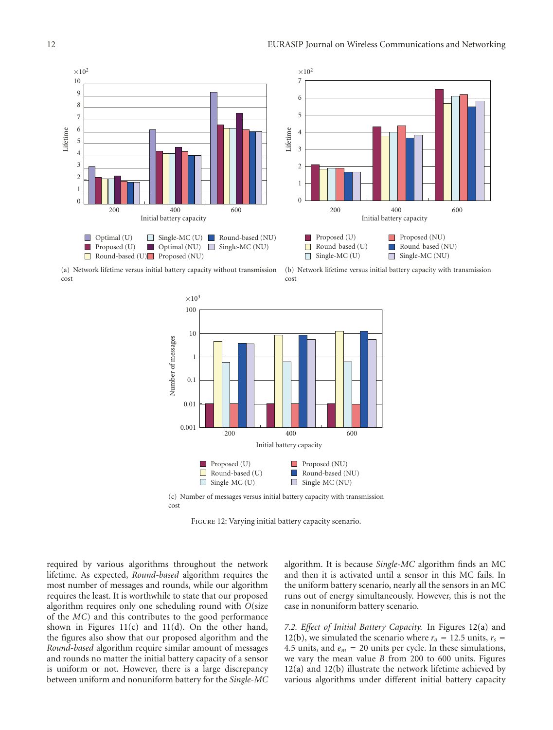



(a) Network lifetime versus initial battery capacity without transmission cost

(b) Network lifetime versus initial battery capacity with transmission cost



(c) Number of messages versus initial battery capacity with transmission cost

FIGURE 12: Varying initial battery capacity scenario.

required by various algorithms throughout the network lifetime. As expected, *Round-based* algorithm requires the most number of messages and rounds, while our algorithm requires the least. It is worthwhile to state that our proposed algorithm requires only one scheduling round with *O*(size of the *MC*) and this contributes to the good performance shown in Figures  $11(c)$  and  $11(d)$ . On the other hand, the figures also show that our proposed algorithm and the *Round-based* algorithm require similar amount of messages and rounds no matter the initial battery capacity of a sensor is uniform or not. However, there is a large discrepancy between uniform and nonuniform battery for the *Single-MC* algorithm. It is because *Single-MC* algorithm finds an MC and then it is activated until a sensor in this MC fails. In the uniform battery scenario, nearly all the sensors in an MC runs out of energy simultaneously. However, this is not the case in nonuniform battery scenario.

*7.2. Effect of Initial Battery Capacity.* In Figures 12(a) and 12(b), we simulated the scenario where  $r_o = 12.5$  units,  $r_s =$ 4.5 units, and  $e_m = 20$  units per cycle. In these simulations, we vary the mean value *B* from 200 to 600 units. Figures 12(a) and 12(b) illustrate the network lifetime achieved by various algorithms under different initial battery capacity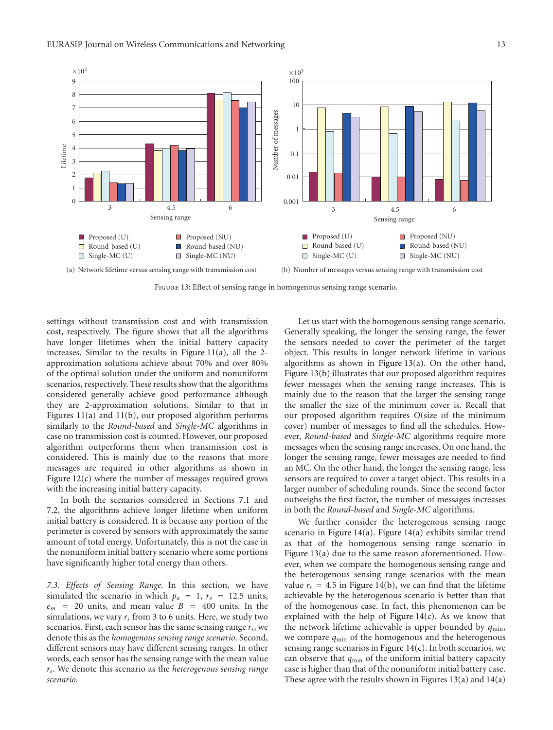

FIGURE 13: Effect of sensing range in homogenous sensing range scenario.

settings without transmission cost and with transmission cost, respectively. The figure shows that all the algorithms have longer lifetimes when the initial battery capacity increases. Similar to the results in Figure 11(a), all the 2 approximation solutions achieve about 70% and over 80% of the optimal solution under the uniform and nonuniform scenarios, respectively. These results show that the algorithms considered generally achieve good performance although they are 2-approximation solutions. Similar to that in Figures  $11(a)$  and  $11(b)$ , our proposed algorithm performs similarly to the *Round-based* and *Single-MC* algorithms in case no transmission cost is counted. However, our proposed algorithm outperforms them when transmission cost is considered. This is mainly due to the reasons that more messages are required in other algorithms as shown in Figure  $12(c)$  where the number of messages required grows with the increasing initial battery capacity.

In both the scenarios considered in Sections 7.1 and 7.2, the algorithms achieve longer lifetime when uniform initial battery is considered. It is because any portion of the perimeter is covered by sensors with approximately the same amount of total energy. Unfortunately, this is not the case in the nonuniform initial battery scenario where some portions have significantly higher total energy than others.

*7.3. Effects of Sensing Range.* In this section, we have simulated the scenario in which  $p_a = 1$ ,  $r_o = 12.5$  units,  $e_m$  = 20 units, and mean value  $B$  = 400 units. In the simulations, we vary  $r_s$  from 3 to 6 units. Here, we study two scenarios. First, each sensor has the same sensing range *rs*, we denote this as the *homogenous sensing range scenario*. Second, different sensors may have different sensing ranges. In other words, each sensor has the sensing range with the mean value *rs*. We denote this scenario as the *heterogenous sensing range scenario*.

Let us start with the homogenous sensing range scenario. Generally speaking, the longer the sensing range, the fewer the sensors needed to cover the perimeter of the target object. This results in longer network lifetime in various algorithms as shown in Figure 13(a). On the other hand, Figure 13(b) illustrates that our proposed algorithm requires fewer messages when the sensing range increases. This is mainly due to the reason that the larger the sensing range the smaller the size of the minimum cover is. Recall that our proposed algorithm requires *O*(size of the minimum cover) number of messages to find all the schedules. However, *Round-based* and *Single-MC* algorithms require more messages when the sensing range increases. On one hand, the longer the sensing range, fewer messages are needed to find an MC. On the other hand, the longer the sensing range, less sensors are required to cover a target object. This results in a larger number of scheduling rounds. Since the second factor outweighs the first factor, the number of messages increases in both the *Round-based* and *Single-MC* algorithms.

We further consider the heterogenous sensing range scenario in Figure 14(a). Figure 14(a) exhibits similar trend as that of the homogenous sensing range scenario in Figure 13(a) due to the same reason aforementioned. However, when we compare the homogenous sensing range and the heterogenous sensing range scenarios with the mean value  $r_s = 4.5$  in Figure 14(b), we can find that the lifetime achievable by the heterogenous scenario is better than that of the homogenous case. In fact, this phenomenon can be explained with the help of Figure  $14(c)$ . As we know that the network lifetime achievable is upper bounded by  $q_{\min}$ , we compare *q*min of the homogenous and the heterogenous sensing range scenarios in Figure 14(c). In both scenarios, we can observe that *q*min of the uniform initial battery capacity case is higher than that of the nonuniform initial battery case. These agree with the results shown in Figures 13(a) and 14(a)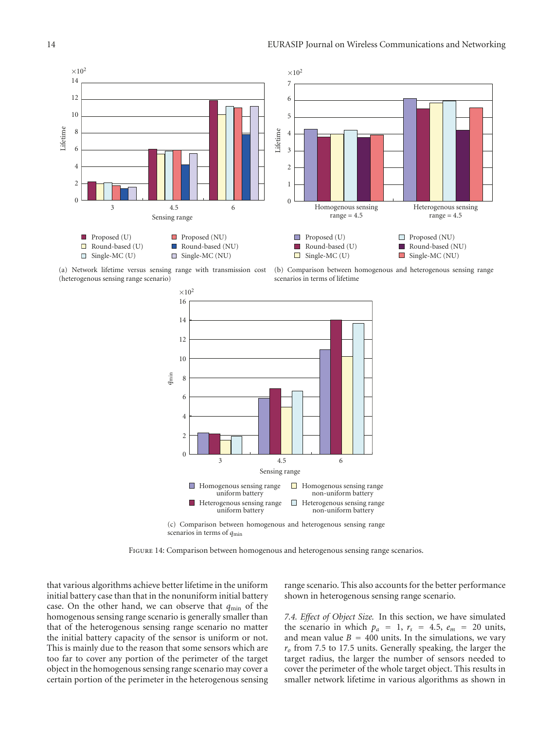



(a) Network lifetime versus sensing range with transmission cost (heterogenous sensing range scenario)

(b) Comparison between homogenous and heterogenous sensing range scenarios in terms of lifetime



Figure 14: Comparison between homogenous and heterogenous sensing range scenarios.

that various algorithms achieve better lifetime in the uniform initial battery case than that in the nonuniform initial battery case. On the other hand, we can observe that *q*min of the homogenous sensing range scenario is generally smaller than that of the heterogenous sensing range scenario no matter the initial battery capacity of the sensor is uniform or not. This is mainly due to the reason that some sensors which are too far to cover any portion of the perimeter of the target object in the homogenous sensing range scenario may cover a certain portion of the perimeter in the heterogenous sensing

range scenario. This also accounts for the better performance shown in heterogenous sensing range scenario.

*7.4. Effect of Object Size.* In this section, we have simulated the scenario in which  $p_a = 1$ ,  $r_s = 4.5$ ,  $e_m = 20$  units, and mean value  $B = 400$  units. In the simulations, we vary *ro* from 7*.*5 to 17*.*5 units. Generally speaking, the larger the target radius, the larger the number of sensors needed to cover the perimeter of the whole target object. This results in smaller network lifetime in various algorithms as shown in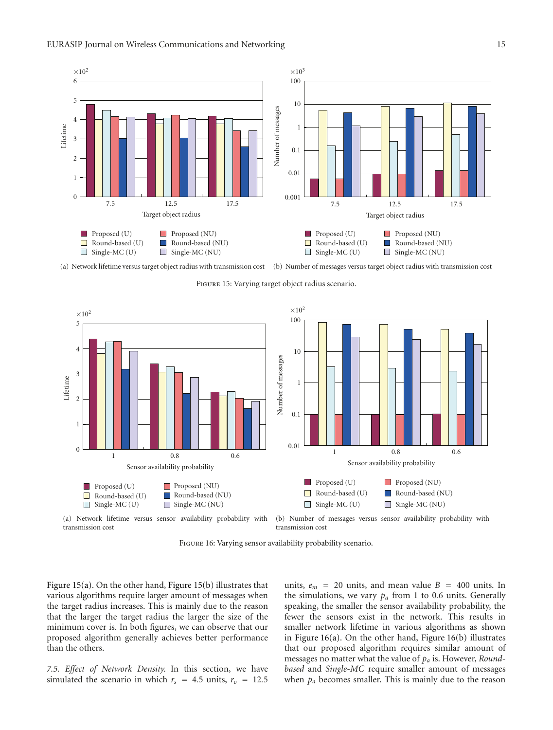

(a) Network lifetime versus target object radius with transmission cost

(b) Number of messages versus target object radius with transmission cost

Figure 15: Varying target object radius scenario.



(a) Network lifetime versus sensor availability probability with transmission cost (b) Number of messages versus sensor availability probability with transmission cost

Figure 16: Varying sensor availability probability scenario.

Figure 15(a). On the other hand, Figure 15(b) illustrates that various algorithms require larger amount of messages when the target radius increases. This is mainly due to the reason that the larger the target radius the larger the size of the minimum cover is. In both figures, we can observe that our proposed algorithm generally achieves better performance than the others.

*7.5. Effect of Network Density.* In this section, we have simulated the scenario in which  $r_s = 4.5$  units,  $r_o = 12.5$  units,  $e_m$  = 20 units, and mean value  $B = 400$  units. In the simulations, we vary  $p_a$  from 1 to 0.6 units. Generally speaking, the smaller the sensor availability probability, the fewer the sensors exist in the network. This results in smaller network lifetime in various algorithms as shown in Figure 16(a). On the other hand, Figure 16(b) illustrates that our proposed algorithm requires similar amount of messages no matter what the value of *pa* is. However, *Roundbased* and *Single-MC* require smaller amount of messages when  $p_a$  becomes smaller. This is mainly due to the reason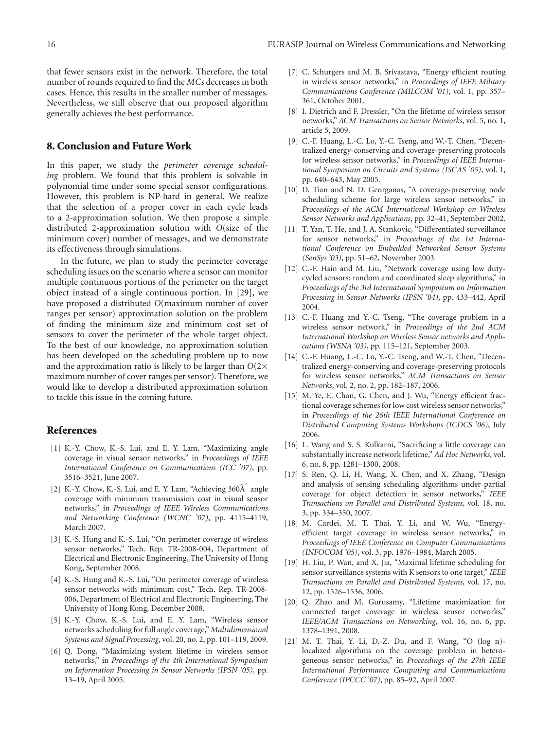that fewer sensors exist in the network. Therefore, the total number of rounds required to find the *MCs* decreases in both cases. Hence, this results in the smaller number of messages. Nevertheless, we still observe that our proposed algorithm generally achieves the best performance.

## **8. Conclusion and Future Work**

In this paper, we study the *perimeter coverage scheduling* problem. We found that this problem is solvable in polynomial time under some special sensor configurations. However, this problem is NP-hard in general. We realize that the selection of a proper cover in each cycle leads to a 2-approximation solution. We then propose a simple distributed 2-approximation solution with *O*(size of the minimum cover) number of messages, and we demonstrate its effectiveness through simulations.

In the future, we plan to study the perimeter coverage scheduling issues on the scenario where a sensor can monitor multiple continuous portions of the perimeter on the target object instead of a single continuous portion. In [29], we have proposed a distributed *O*(maximum number of cover ranges per sensor) approximation solution on the problem of finding the minimum size and minimum cost set of sensors to cover the perimeter of the whole target object. To the best of our knowledge, no approximation solution has been developed on the scheduling problem up to now and the approximation ratio is likely to be larger than *O*(2× maximum number of cover ranges per sensor). Therefore, we would like to develop a distributed approximation solution to tackle this issue in the coming future.

## **References**

- [1] K.-Y. Chow, K.-S. Lui, and E. Y. Lam, "Maximizing angle coverage in visual sensor networks," in *Proceedings of IEEE International Conference on Communications (ICC '07)*, pp. 3516–3521, June 2007.
- [2] K.-Y. Chow, K.-S. Lui, and E. Y. Lam, "Achieving  $360\hat{A}^{\circ}$  angle coverage with minimum transmission cost in visual sensor networks," in *Proceedings of IEEE Wireless Communications and Networking Conference (WCNC '07)*, pp. 4115–4119, March 2007.
- [3] K.-S. Hung and K.-S. Lui, "On perimeter coverage of wireless sensor networks," Tech. Rep. TR-2008-004, Department of Electrical and Electronic Engineering, The University of Hong Kong, September 2008.
- [4] K.-S. Hung and K.-S. Lui, "On perimeter coverage of wireless sensor networks with minimum cost," Tech. Rep. TR-2008- 006, Department of Electrical and Electronic Engineering, The University of Hong Kong, December 2008.
- [5] K.-Y. Chow, K.-S. Lui, and E. Y. Lam, "Wireless sensor networks scheduling for full angle coverage," *Multidimensional Systems and Signal Processing*, vol. 20, no. 2, pp. 101–119, 2009.
- [6] Q. Dong, "Maximizing system lifetime in wireless sensor networks," in *Proceedings of the 4th International Symposium on Information Processing in Sensor Networks (IPSN '05)*, pp. 13–19, April 2005.
- [7] C. Schurgers and M. B. Srivastava, "Energy efficient routing in wireless sensor networks," in *Proceedings of IEEE Military Communications Conference (MILCOM '01)*, vol. 1, pp. 357– 361, October 2001.
- [8] I. Dietrich and F. Dressler, "On the lifetime of wireless sensor networks," *ACM Transactions on Sensor Networks*, vol. 5, no. 1, article 5, 2009.
- [9] C.-F. Huang, L.-C. Lo, Y.-C. Tseng, and W.-T. Chen, "Decentralized energy-conserving and coverage-preserving protocols for wireless sensor networks," in *Proceedings of IEEE International Symposium on Circuits and Systems (ISCAS '05)*, vol. 1, pp. 640–643, May 2005.
- [10] D. Tian and N. D. Georganas, "A coverage-preserving node scheduling scheme for large wireless sensor networks," in *Proceedings of the ACM International Workshop on Wireless Sensor Networks and Applications*, pp. 32–41, September 2002.
- [11] T. Yan, T. He, and J. A. Stankovic, "Differentiated surveillance for sensor networks," in *Proceedings of the 1st International Conference on Embedded Networked Sensor Systems (SenSys '03)*, pp. 51–62, November 2003.
- [12] C.-F. Hsin and M. Liu, "Network coverage using low dutycycled sensors: random and coordinated sleep algorithms," in *Proceedings of the 3rd International Symposium on Information Processing in Sensor Networks (IPSN '04)*, pp. 433–442, April 2004.
- [13] C.-F. Huang and Y.-C. Tseng, "The coverage problem in a wireless sensor network," in *Proceedings of the 2nd ACM International Workshop on Wireless Sensor networks and Applications (WSNA '03)*, pp. 115–121, September 2003.
- [14] C.-F. Huang, L.-C. Lo, Y.-C. Tseng, and W.-T. Chen, "Decentralized energy-conserving and coverage-preserving protocols for wireless sensor networks," *ACM Transactions on Sensor Networks*, vol. 2, no. 2, pp. 182–187, 2006.
- [15] M. Ye, E. Chan, G. Chen, and J. Wu, "Energy efficient fractional coverage schemes for low cost wireless sensor networks," in *Proceedings of the 26th IEEE International Conference on Distributed Computing Systems Workshops (ICDCS '06)*, July 2006.
- [16] L. Wang and S. S. Kulkarni, "Sacrificing a little coverage can substantially increase network lifetime," *Ad Hoc Networks*, vol. 6, no. 8, pp. 1281–1300, 2008.
- [17] S. Ren, Q. Li, H. Wang, X. Chen, and X. Zhang, "Design and analysis of sensing scheduling algorithms under partial coverage for object detection in sensor networks," *IEEE Transactions on Parallel and Distributed Systems*, vol. 18, no. 3, pp. 334–350, 2007.
- [18] M. Cardei, M. T. Thai, Y. Li, and W. Wu, "Energyefficient target coverage in wireless sensor networks," in *Proceedings of IEEE Conference on Computer Communications (INFOCOM '05)*, vol. 3, pp. 1976–1984, March 2005.
- [19] H. Liu, P. Wan, and X. Jia, "Maximal lifetime scheduling for sensor surveillance systems with K sensors to one target," *IEEE Transactions on Parallel and Distributed Systems*, vol. 17, no. 12, pp. 1526–1536, 2006.
- [20] Q. Zhao and M. Gurusamy, "Lifetime maximization for connected target coverage in wireless sensor networks," *IEEE/ACM Transactions on Networking*, vol. 16, no. 6, pp. 1378–1391, 2008.
- [21] M. T. Thai, Y. Li, D.-Z. Du, and F. Wang, "O (log n) localized algorithms on the coverage problem in heterogeneous sensor networks," in *Proceedings of the 27th IEEE International Performance Computing and Communications Conference (IPCCC '07)*, pp. 85–92, April 2007.